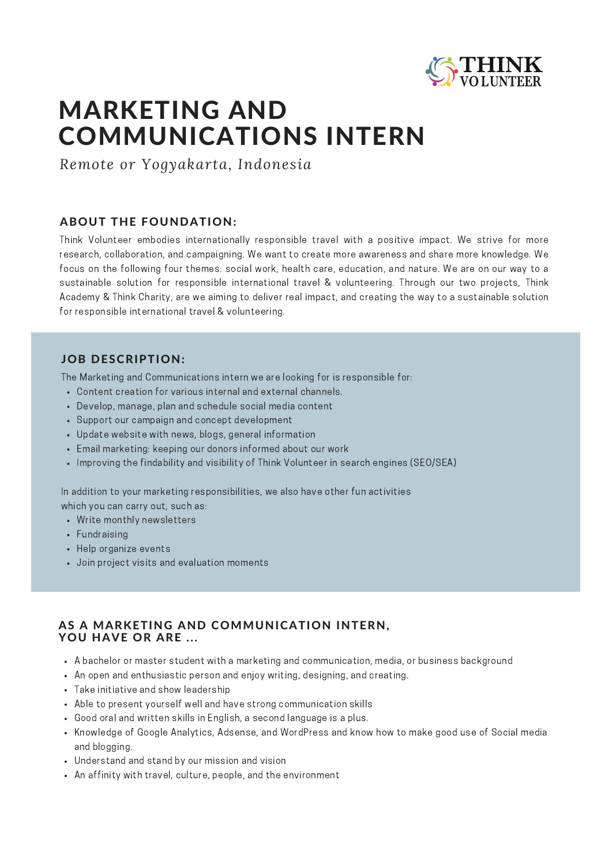

# MARKETING AND COMMUNICATIONS INTERN

*Remote or Yogyakarta, Indonesia*

# ABOUT THE FOUNDATION:

Think Volunteer embodies internationally responsible travel with a positive impact. We strive for more research, collaboration, and campaigning. We want to create more awareness and share more knowledge. We focus on the following four themes: social work, health care, education, and nature. We are on our way to a sustainable solution for responsible international travel & volunteering. Through our two projects, Think Academy & Think Charity, are we aiming to deliver real impact, and creating the way to a sustainable solution for responsible international travel & volunteering.

# JOB DESCRIPTION:

The Marketing and Communications intern we are looking for is responsible for:

- Content creation for various internal and external channels.
- Develop, manage, plan and schedule social media content
- Support our campaign and concept development
- Update website with news, blogs, general information
- Email marketing: keeping our donors informed about our work
- Improving the findability and visibility of Think Volunteer in search engines (SEO/SEA)

In addition to your marketing responsibilities, we also have other fun activities which you can carry out, such as:

- Write monthly newsletters
- Fundraising
- Help organize events
- Join project visits and evaluation moments

#### AS A MARKETING AND COMMUNICATION INTERN, YOU HAVE OR ARE ...

- A bachelor or master student with a marketing and communication, media, or business background
- An open and enthusiastic person and enjoy writing, designing, and creating.
- Take initiative and show leadership
- Able to present yourself well and have strong communication skills
- Good oral and written skills in English, a second language is a plus.
- Knowledge of Google Analytics, Adsense, and WordPress and know how to make good use of Social media and blogging.
- Understand and stand by our mission and vision
- An affinity with travel, culture, people, and the environment